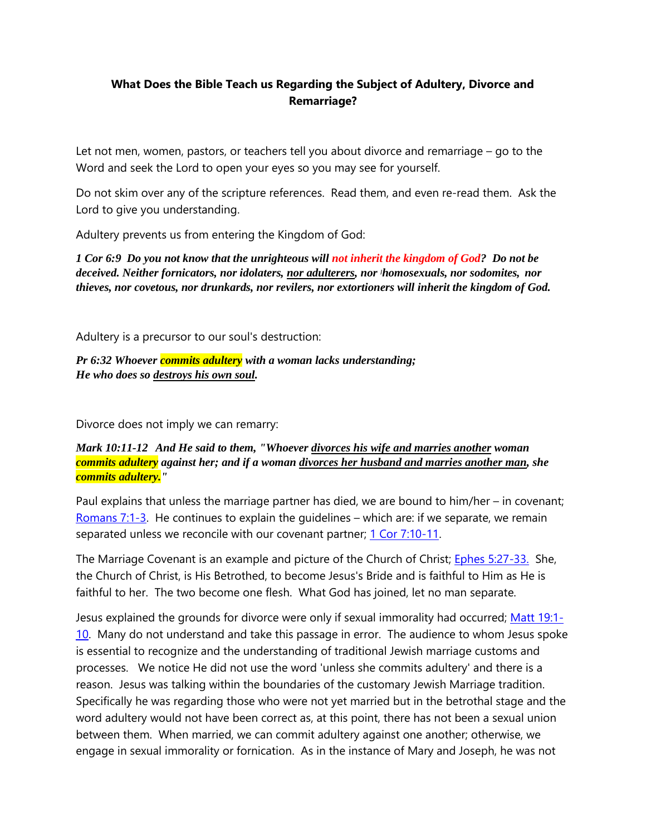## **What Does the Bible Teach us Regarding the Subject of Adultery, Divorce and Remarriage?**

Let not men, women, pastors, or teachers tell you about divorce and remarriage – go to the Word and seek the Lord to open your eyes so you may see for yourself.

Do not skim over any of the scripture references. Read them, and even re-read them. Ask the Lord to give you understanding.

Adultery prevents us from entering the Kingdom of God:

*1 Cor 6:9 Do you not know that the unrighteous will not inherit the kingdom of God? Do not be deceived. Neither fornicators, nor idolaters, nor adulterers, nor ]homosexuals, nor sodomites, nor thieves, nor covetous, nor drunkards, nor revilers, nor extortioners will inherit the kingdom of God.*

Adultery is a precursor to our soul's destruction:

*Pr 6:32 Whoever commits adultery with a woman lacks understanding; He who does so destroys his own soul.*

Divorce does not imply we can remarry:

## *Mark 10:11-12 And He said to them, "Whoever divorces his wife and marries another woman commits adultery against her; and if a woman divorces her husband and marries another man, she commits adultery."*

Paul explains that unless the marriage partner has died, we are bound to him/her – in covenant; [Romans 7:1-3.](https://www.biblegateway.com/passage/?search=Romans+7%3A1-3&version=NKJV) He continues to explain the guidelines – which are: if we separate, we remain separated unless we reconcile with our covenant partner; [1 Cor 7:10-11.](https://www.biblegateway.com/passage/?search=1+Corinthians+7%3A10-11&version=NKJV)

The Marriage Covenant is an example and picture of the Church of Christ; [Ephes 5:27-33.](https://www.biblegateway.com/passage/?search=Ephesians+5%3A27-33&version=NKJV) She, the Church of Christ, is His Betrothed, to become Jesus's Bride and is faithful to Him as He is faithful to her. The two become one flesh. What God has joined, let no man separate.

Jesus explained the grounds for divorce were only if sexual immorality had occurred; [Matt 19:1-](https://www.biblegateway.com/passage/?search=Matthew+19%3A1-10&version=NKJV) [10.](https://www.biblegateway.com/passage/?search=Matthew+19%3A1-10&version=NKJV) Many do not understand and take this passage in error. The audience to whom Jesus spoke is essential to recognize and the understanding of traditional Jewish marriage customs and processes. We notice He did not use the word 'unless she commits adultery' and there is a reason. Jesus was talking within the boundaries of the customary Jewish Marriage tradition. Specifically he was regarding those who were not yet married but in the betrothal stage and the word adultery would not have been correct as, at this point, there has not been a sexual union between them. When married, we can commit adultery against one another; otherwise, we engage in sexual immorality or fornication. As in the instance of Mary and Joseph, he was not